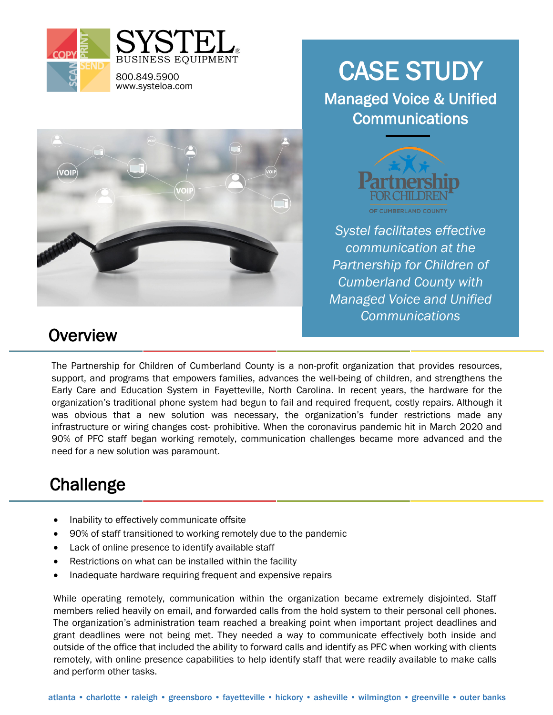



# CASE STUDY

Managed Voice & Unified **Communications** 



*Systel facilitates effective communication at the Partnership for Children of Cumberland County with Managed Voice and Unified Communications*

#### **Overview**

The Partnership for Children of Cumberland County is a non-profit organization that provides resources, support, and programs that empowers families, advances the well-being of children, and strengthens the Early Care and Education System in Fayetteville, North Carolina. In recent years, the hardware for the organization's traditional phone system had begun to fail and required frequent, costly repairs. Although it was obvious that a new solution was necessary, the organization's funder restrictions made any infrastructure or wiring changes cost- prohibitive. When the coronavirus pandemic hit in March 2020 and 90% of PFC staff began working remotely, communication challenges became more advanced and the need for a new solution was paramount.

## **Challenge**

- Inability to effectively communicate offsite
- 90% of staff transitioned to working remotely due to the pandemic
- Lack of online presence to identify available staff
- Restrictions on what can be installed within the facility
- Inadequate hardware requiring frequent and expensive repairs

While operating remotely, communication within the organization became extremely disjointed. Staff members relied heavily on email, and forwarded calls from the hold system to their personal cell phones. The organization's administration team reached a breaking point when important project deadlines and grant deadlines were not being met. They needed a way to communicate effectively both inside and outside of the office that included the ability to forward calls and identify as PFC when working with clients remotely, with online presence capabilities to help identify staff that were readily available to make calls and perform other tasks.